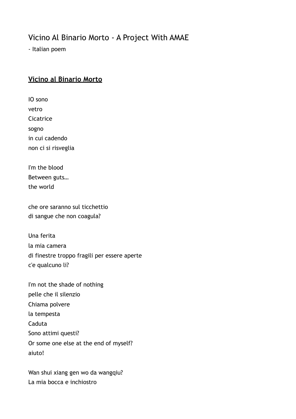## Vicino Al Binario Morto - A Project With AMAE

- Italian poem

## **Vicino al Binario Morto**

IO sono vetro Cicatrice sogno in cui cadendo non ci si risveglia

I'm the blood Between guts… the world

che ore saranno sul ticchettio di sangue che non coagula?

Una ferita la mia camera di finestre troppo fragili per essere aperte c'e qualcuno li?

I'm not the shade of nothing pelle che il silenzio Chiama polvere la tempesta Caduta Sono attimi questi? Or some one else at the end of myself? aiuto!

Wan shui xiang gen wo da wangqiu? La mia bocca e inchiostro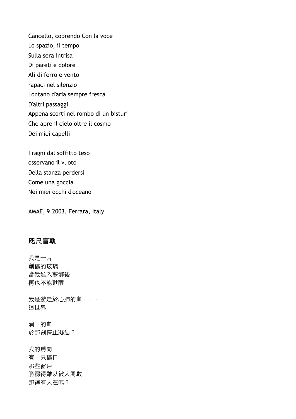Cancello, coprendo Con la voce Lo spazio, il tempo Sulla sera intrisa Di pareti e dolore Ali di ferro e vento rapaci nel silenzio Lontano d'aria sempre fresca D'altri passaggi Appena scorti nel rombo di un bisturi Che apre il cielo oltre il cosmo Dei miei capelli

I ragni dal soffitto teso osservano il vuoto Della stanza perdersi Come una goccia Nei miei occhi d'oceano

AMAE, 9.2003, Ferrara, Italy

## 咫尺盲軌

我是一片 創傷的玻璃 當我進入夢鄉後 再也不能甦醒

我是游走於心肺的血··· 這世界

淌下的血 於那刻停止凝結?

我的房間 有一只傷口 那些窗戶 脆弱得難以被⼈開啟 那裡有⼈在嗎?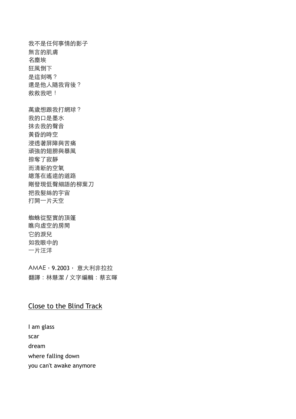我不是任何事情的影子 無言的肌膚 名塵埃 狂風倒下 是這刻嗎? 還是他⼈隨我背後? 救救我吧! 萬歲想跟我打網球? 我的口是墨水 抹去我的聲音 ⿈昏的時空 浸透著屏障與苦痛 頑強的翅膀與暴風 掠奪了寂靜 ⽽清新的空氣 總落在遙遠的道路 剛發現低聲細語的柳葉刀 把我髮絲的宇宙 打開一片天空

蜘蛛從堅實的頂篷 瞧向虛空的房間 它的淚兒 如我眼中的 一片汪洋

AMAE, 9.2003, 意大利非拉拉 翻譯:林慧潔 / 文字編輯:蔡玄暉

## Close to the Blind Track

I am glass scar dream where falling down you can't awake anymore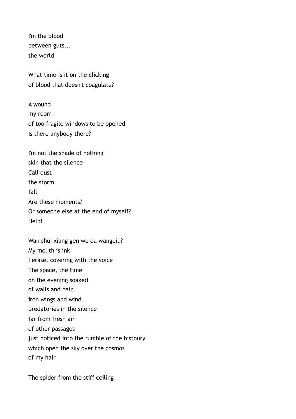I'm the blood between guts... the world

What time is it on the clicking of blood that doesn't coagulate?

A wound my room of too fragile windows to be opened Is there anybody there?

I'm not the shade of nothing skin that the silence Call dust the storm fall Are these moments? Or someone else at the end of myself? Help!

Wan shui xiang gen wo da wangqiu? My mouth is ink I erase, covering with the voice The space, the time on the evening soaked of walls and pain iron wings and wind predatories in the silence far from fresh air of other passages just noticed into the rumble of the bistoury which open the sky over the cosmos of my hair

The spider from the stiff ceiling